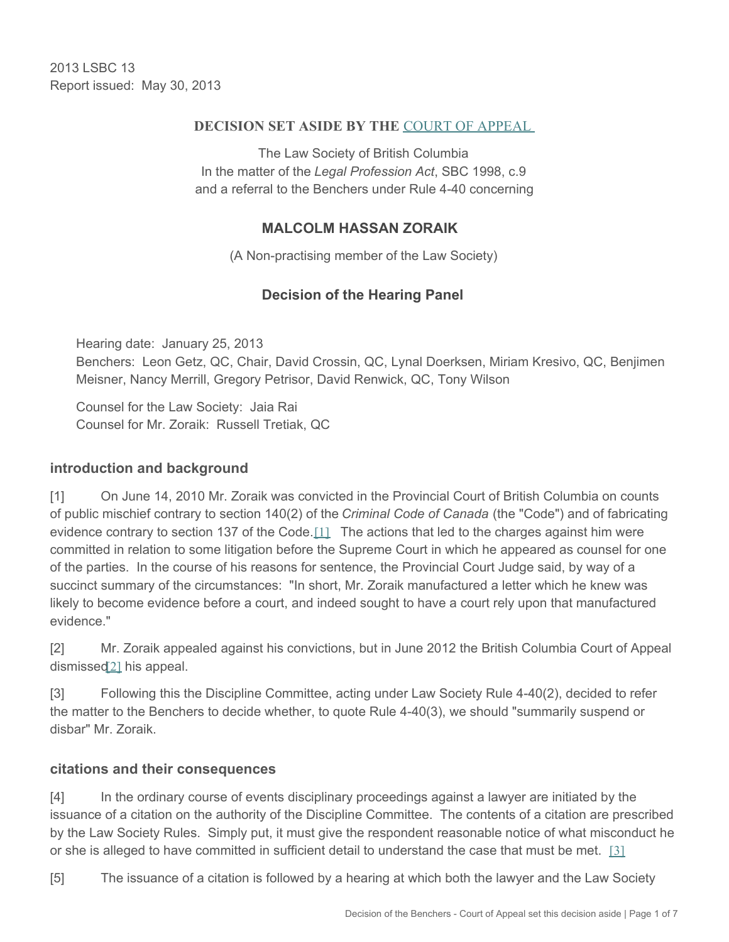2013 LSBC 13 Report issued: May 30, 2013

#### **DECISION SET ASIDE BY THE** [COURT OF APPEAL](http://www.courts.gov.bc.ca/jdb-txt/CA/15/01/2015BCCA0137.htm)

The Law Society of British Columbia In the matter of the *Legal Profession Act*, SBC 1998, c.9 and a referral to the Benchers under Rule 4-40 concerning

### **MALCOLM HASSAN ZORAIK**

(A Non-practising member of the Law Society)

## <span id="page-0-0"></span>**Decision of the Hearing Panel**

Hearing date: January 25, 2013 Benchers: Leon Getz, QC, Chair, David Crossin, QC, Lynal Doerksen, Miriam Kresivo, QC, Benjimen Meisner, Nancy Merrill, Gregory Petrisor, David Renwick, QC, Tony Wilson

Counsel for the Law Society: Jaia Rai Counsel for Mr. Zoraik: Russell Tretiak, QC

### **introduction and background**

[1] On June 14, 2010 Mr. Zoraik was convicted in the Provincial Court of British Columbia on counts of public mischief contrary to section 140(2) of the *Criminal Code of Canada* (the "Code") and of fabricating evidence contrary to section 137 of the Code.[\[1\]](#page-5-0) The actions that led to the charges against him were committed in relation to some litigation before the Supreme Court in which he appeared as counsel for one of the parties. In the course of his reasons for sentence, the Provincial Court Judge said, by way of a succinct summary of the circumstances: "In short, Mr. Zoraik manufactured a letter which he knew was likely to become evidence before a court, and indeed sought to have a court rely upon that manufactured evidence."

<span id="page-0-1"></span>[2] Mr. Zoraik appealed against his convictions, but in June 2012 the British Columbia Court of Appeal dismissed<sup>[\[2\]](#page-5-1)</sup> his appeal.

[3] Following this the Discipline Committee, acting under Law Society Rule 4-40(2), decided to refer the matter to the Benchers to decide whether, to quote Rule 4-40(3), we should "summarily suspend or disbar" Mr. Zoraik.

### **citations and their consequences**

[4] In the ordinary course of events disciplinary proceedings against a lawyer are initiated by the issuance of a citation on the authority of the Discipline Committee. The contents of a citation are prescribed by the Law Society Rules. Simply put, it must give the respondent reasonable notice of what misconduct he or she is alleged to have committed in sufficient detail to understand the case that must be met.  $[3]$ 

<span id="page-0-3"></span><span id="page-0-2"></span>[5] The issuance of a citation is followed by a hearing at which both the lawyer and the Law Society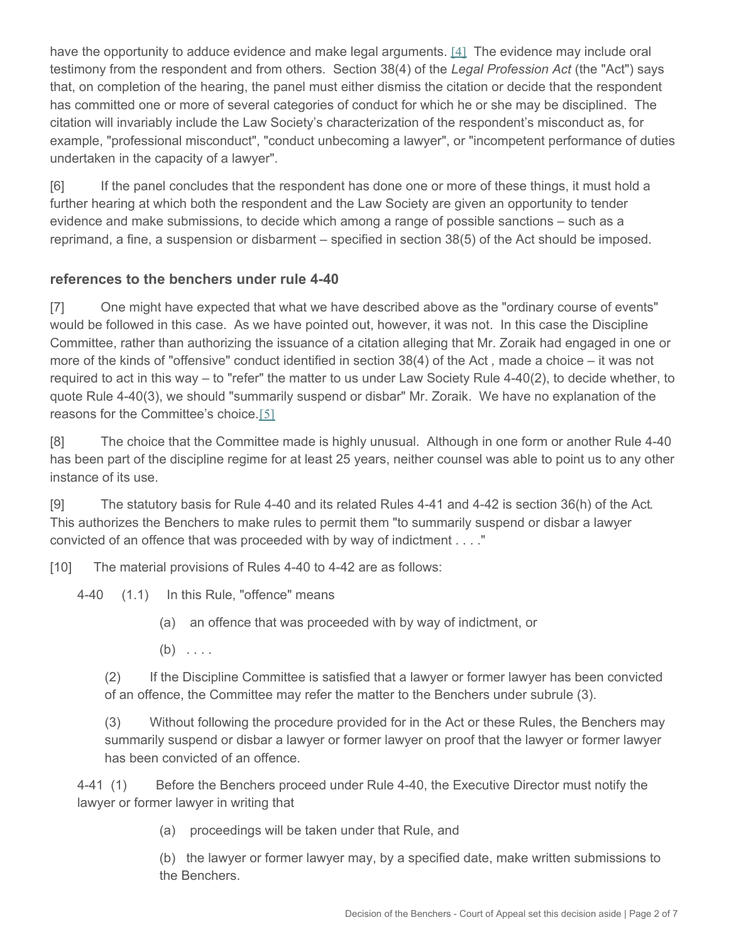have the opportunity to adduce evidence and make legal arguments. [\[4\]](#page-5-3) The evidence may include oral testimony from the respondent and from others. Section 38(4) of the *Legal Profession Act* (the "Act") says that, on completion of the hearing, the panel must either dismiss the citation or decide that the respondent has committed one or more of several categories of conduct for which he or she may be disciplined. The citation will invariably include the Law Society's characterization of the respondent's misconduct as, for example, "professional misconduct", "conduct unbecoming a lawyer", or "incompetent performance of duties undertaken in the capacity of a lawyer".

[6] If the panel concludes that the respondent has done one or more of these things, it must hold a further hearing at which both the respondent and the Law Society are given an opportunity to tender evidence and make submissions, to decide which among a range of possible sanctions – such as a reprimand, a fine, a suspension or disbarment – specified in section 38(5) of the Act should be imposed.

### **references to the benchers under rule 4-40**

[7] One might have expected that what we have described above as the "ordinary course of events" would be followed in this case. As we have pointed out, however, it was not. In this case the Discipline Committee, rather than authorizing the issuance of a citation alleging that Mr. Zoraik had engaged in one or more of the kinds of "offensive" conduct identified in section 38(4) of the Act *,* made a choice – it was not required to act in this way – to "refer" the matter to us under Law Society Rule 4-40(2), to decide whether, to quote Rule 4-40(3), we should "summarily suspend or disbar" Mr. Zoraik. We have no explanation of the reasons for the Committee's choice.[\[5\]](#page-5-4)

<span id="page-1-0"></span>[8] The choice that the Committee made is highly unusual. Although in one form or another Rule 4-40 has been part of the discipline regime for at least 25 years, neither counsel was able to point us to any other instance of its use.

[9] The statutory basis for Rule 4-40 and its related Rules 4-41 and 4-42 is section 36(h) of the Act*.*  This authorizes the Benchers to make rules to permit them "to summarily suspend or disbar a lawyer convicted of an offence that was proceeded with by way of indictment . . . ."

[10] The material provisions of Rules 4-40 to 4-42 are as follows:

4-40 (1.1) In this Rule, "offence" means

- (a) an offence that was proceeded with by way of indictment, or
- $(b) \ldots$

(2) If the Discipline Committee is satisfied that a lawyer or former lawyer has been convicted of an offence, the Committee may refer the matter to the Benchers under subrule (3).

(3) Without following the procedure provided for in the Act or these Rules, the Benchers may summarily suspend or disbar a lawyer or former lawyer on proof that the lawyer or former lawyer has been convicted of an offence.

4-41 (1) Before the Benchers proceed under Rule 4-40, the Executive Director must notify the lawyer or former lawyer in writing that

(a) proceedings will be taken under that Rule, and

(b) the lawyer or former lawyer may, by a specified date, make written submissions to the Benchers.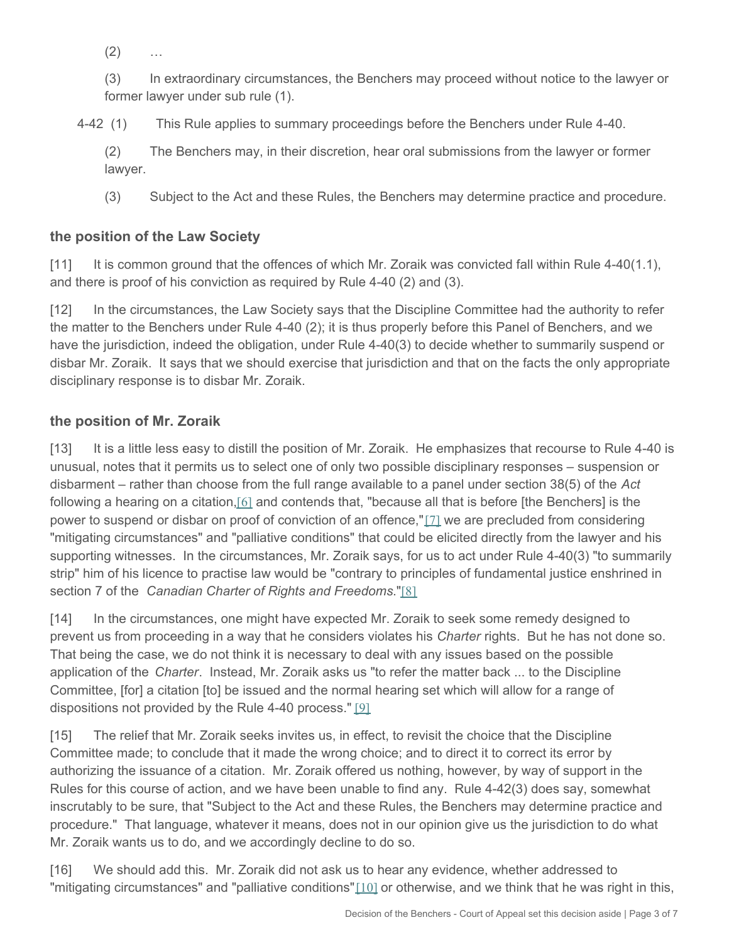$(2)$ 

(3) In extraordinary circumstances, the Benchers may proceed without notice to the lawyer or former lawyer under sub rule (1).

4-42 (1) This Rule applies to summary proceedings before the Benchers under Rule 4-40.

(2) The Benchers may, in their discretion, hear oral submissions from the lawyer or former lawyer.

(3) Subject to the Act and these Rules, the Benchers may determine practice and procedure.

# **the position of the Law Society**

[11] It is common ground that the offences of which Mr. Zoraik was convicted fall within Rule 4-40(1.1), and there is proof of his conviction as required by Rule 4-40 (2) and (3).

[12] In the circumstances, the Law Society says that the Discipline Committee had the authority to refer the matter to the Benchers under Rule 4-40 (2); it is thus properly before this Panel of Benchers, and we have the jurisdiction, indeed the obligation, under Rule 4-40(3) to decide whether to summarily suspend or disbar Mr. Zoraik. It says that we should exercise that jurisdiction and that on the facts the only appropriate disciplinary response is to disbar Mr. Zoraik.

# **the position of Mr. Zoraik**

<span id="page-2-1"></span><span id="page-2-0"></span>[13] It is a little less easy to distill the position of Mr. Zoraik. He emphasizes that recourse to Rule 4-40 is unusual, notes that it permits us to select one of only two possible disciplinary responses – suspension or disbarment – rather than choose from the full range available to a panel under section 38(5) of the *Act* following a hearing on a citation, [\[6\]](#page-5-5) and contends that, "because all that is before [the Benchers] is the power to suspend or disbar on proof of conviction of an offence,"[\[7\]](#page-5-6) we are precluded from considering "mitigating circumstances" and "palliative conditions" that could be elicited directly from the lawyer and his supporting witnesses. In the circumstances, Mr. Zoraik says, for us to act under Rule 4-40(3) "to summarily strip" him of his licence to practise law would be "contrary to principles of fundamental justice enshrined in section 7 of the *Canadian Charter of Rights and Freedoms*."[\[8\]](#page-6-0)

<span id="page-2-2"></span>[14] In the circumstances, one might have expected Mr. Zoraik to seek some remedy designed to prevent us from proceeding in a way that he considers violates his *Charter* rights. But he has not done so. That being the case, we do not think it is necessary to deal with any issues based on the possible application of the *Charter*. Instead, Mr. Zoraik asks us "to refer the matter back ... to the Discipline Committee, [for] a citation [to] be issued and the normal hearing set which will allow for a range of dispositions not provided by the Rule 4-40 process." [\[9\]](#page-6-1)

<span id="page-2-3"></span>[15] The relief that Mr. Zoraik seeks invites us, in effect, to revisit the choice that the Discipline Committee made; to conclude that it made the wrong choice; and to direct it to correct its error by authorizing the issuance of a citation. Mr. Zoraik offered us nothing, however, by way of support in the Rules for this course of action, and we have been unable to find any. Rule 4-42(3) does say, somewhat inscrutably to be sure, that "Subject to the Act and these Rules, the Benchers may determine practice and procedure." That language, whatever it means, does not in our opinion give us the jurisdiction to do what Mr. Zoraik wants us to do, and we accordingly decline to do so.

<span id="page-2-5"></span><span id="page-2-4"></span>[16] We should add this. Mr. Zoraik did not ask us to hear any evidence, whether addressed to "mitigating circumstances" and "palliative conditions"[\[10\]](#page-6-2) or otherwise, and we think that he was right in this,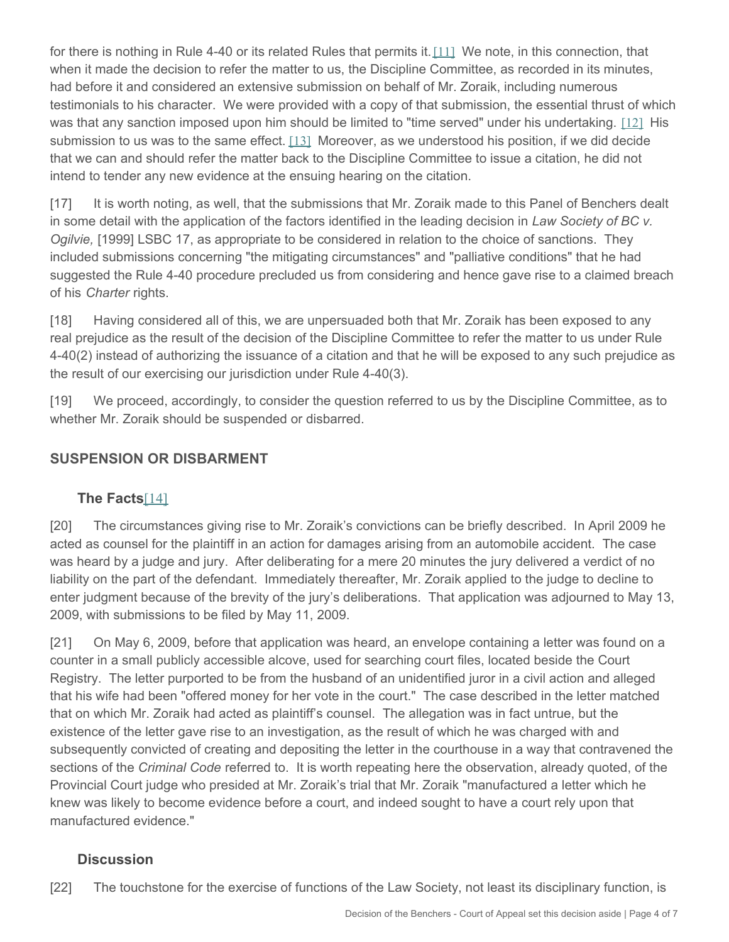<span id="page-3-0"></span>for there is nothing in Rule 4-40 or its related Rules that permits it. [\[11\]](#page-6-3) We note, in this connection, that when it made the decision to refer the matter to us, the Discipline Committee, as recorded in its minutes, had before it and considered an extensive submission on behalf of Mr. Zoraik, including numerous testimonials to his character. We were provided with a copy of that submission, the essential thrust of which was that any sanction imposed upon him should be limited to "time served" under his undertaking. [\[12\]](#page-6-4) His submission to us was to the same effect.  $[13]$  Moreover, as we understood his position, if we did decide that we can and should refer the matter back to the Discipline Committee to issue a citation, he did not intend to tender any new evidence at the ensuing hearing on the citation.

<span id="page-3-1"></span>[17] It is worth noting, as well, that the submissions that Mr. Zoraik made to this Panel of Benchers dealt in some detail with the application of the factors identified in the leading decision in *Law Society of BC v. Ogilvie,* [1999] LSBC 17, as appropriate to be considered in relation to the choice of sanctions. They included submissions concerning "the mitigating circumstances" and "palliative conditions" that he had suggested the Rule 4-40 procedure precluded us from considering and hence gave rise to a claimed breach of his *Charter* rights.

[18] Having considered all of this, we are unpersuaded both that Mr. Zoraik has been exposed to any real prejudice as the result of the decision of the Discipline Committee to refer the matter to us under Rule 4-40(2) instead of authorizing the issuance of a citation and that he will be exposed to any such prejudice as the result of our exercising our jurisdiction under Rule 4-40(3).

[19] We proceed, accordingly, to consider the question referred to us by the Discipline Committee, as to whether Mr. Zoraik should be suspended or disbarred.

## **SUSPENSION OR DISBARMENT**

## <span id="page-3-2"></span>**The Facts**[\[14\]](#page-6-6)

[20] The circumstances giving rise to Mr. Zoraik's convictions can be briefly described. In April 2009 he acted as counsel for the plaintiff in an action for damages arising from an automobile accident. The case was heard by a judge and jury. After deliberating for a mere 20 minutes the jury delivered a verdict of no liability on the part of the defendant. Immediately thereafter, Mr. Zoraik applied to the judge to decline to enter judgment because of the brevity of the jury's deliberations. That application was adjourned to May 13, 2009, with submissions to be filed by May 11, 2009.

[21] On May 6, 2009, before that application was heard, an envelope containing a letter was found on a counter in a small publicly accessible alcove, used for searching court files, located beside the Court Registry. The letter purported to be from the husband of an unidentified juror in a civil action and alleged that his wife had been "offered money for her vote in the court." The case described in the letter matched that on which Mr. Zoraik had acted as plaintiff's counsel. The allegation was in fact untrue, but the existence of the letter gave rise to an investigation, as the result of which he was charged with and subsequently convicted of creating and depositing the letter in the courthouse in a way that contravened the sections of the *Criminal Code* referred to. It is worth repeating here the observation, already quoted, of the Provincial Court judge who presided at Mr. Zoraik's trial that Mr. Zoraik "manufactured a letter which he knew was likely to become evidence before a court, and indeed sought to have a court rely upon that manufactured evidence."

## **Discussion**

[22] The touchstone for the exercise of functions of the Law Society, not least its disciplinary function, is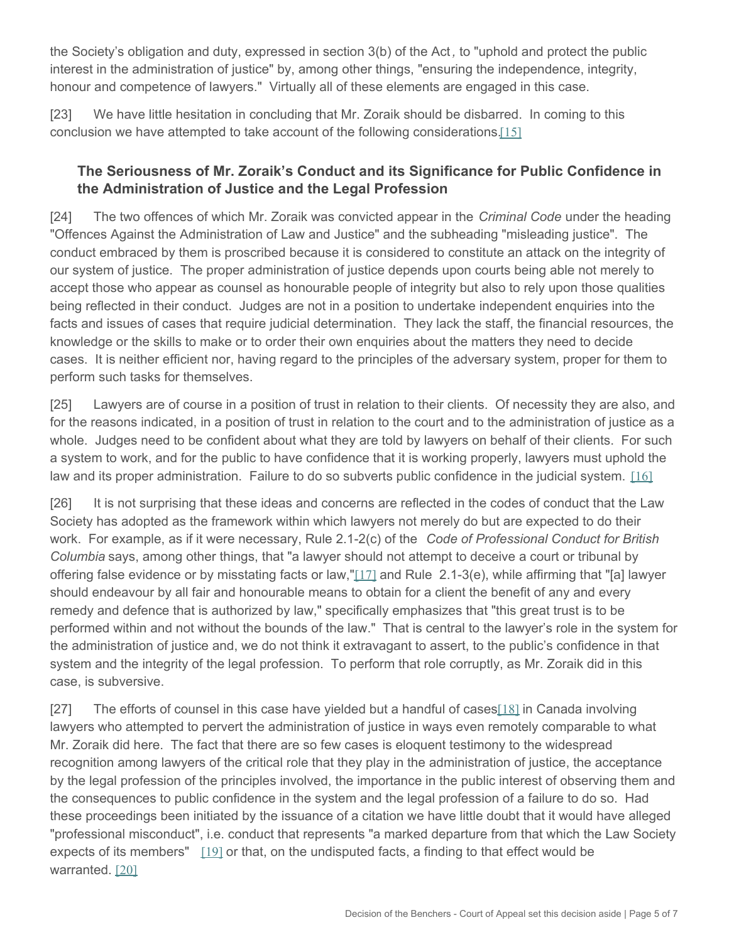the Society's obligation and duty, expressed in section 3(b) of the Act *,* to "uphold and protect the public interest in the administration of justice" by, among other things, "ensuring the independence, integrity, honour and competence of lawyers." Virtually all of these elements are engaged in this case.

[23] We have little hesitation in concluding that Mr. Zoraik should be disbarred. In coming to this conclusion we have attempted to take account of the following considerations.[\[15\]](#page-6-7)

## <span id="page-4-0"></span>**The Seriousness of Mr. Zoraik's Conduct and its Significance for Public Confidence in the Administration of Justice and the Legal Profession**

[24] The two offences of which Mr. Zoraik was convicted appear in the *Criminal Code* under the heading "Offences Against the Administration of Law and Justice" and the subheading "misleading justice". The conduct embraced by them is proscribed because it is considered to constitute an attack on the integrity of our system of justice. The proper administration of justice depends upon courts being able not merely to accept those who appear as counsel as honourable people of integrity but also to rely upon those qualities being reflected in their conduct. Judges are not in a position to undertake independent enquiries into the facts and issues of cases that require judicial determination. They lack the staff, the financial resources, the knowledge or the skills to make or to order their own enquiries about the matters they need to decide cases. It is neither efficient nor, having regard to the principles of the adversary system, proper for them to perform such tasks for themselves.

[25] Lawyers are of course in a position of trust in relation to their clients. Of necessity they are also, and for the reasons indicated, in a position of trust in relation to the court and to the administration of justice as a whole. Judges need to be confident about what they are told by lawyers on behalf of their clients. For such a system to work, and for the public to have confidence that it is working properly, lawyers must uphold the law and its proper administration. Failure to do so subverts public confidence in the judicial system. [\[16\]](#page-6-8)

<span id="page-4-2"></span><span id="page-4-1"></span>[26] It is not surprising that these ideas and concerns are reflected in the codes of conduct that the Law Society has adopted as the framework within which lawyers not merely do but are expected to do their work. For example, as if it were necessary, Rule 2.1-2(c) of the *Code of Professional Conduct for British Columbia* says, among other things, that "a lawyer should not attempt to deceive a court or tribunal by offering false evidence or by misstating facts or law,"[\[17\]](#page-6-9) and Rule 2.1-3(e), while affirming that "[a] lawyer should endeavour by all fair and honourable means to obtain for a client the benefit of any and every remedy and defence that is authorized by law," specifically emphasizes that "this great trust is to be performed within and not without the bounds of the law." That is central to the lawyer's role in the system for the administration of justice and, we do not think it extravagant to assert, to the public's confidence in that system and the integrity of the legal profession. To perform that role corruptly, as Mr. Zoraik did in this case, is subversive.

<span id="page-4-5"></span><span id="page-4-4"></span><span id="page-4-3"></span>[27] The efforts of counsel in this case have yielded but a handful of cases [\[18\]](#page-6-10) in Canada involving lawyers who attempted to pervert the administration of justice in ways even remotely comparable to what Mr. Zoraik did here. The fact that there are so few cases is eloquent testimony to the widespread recognition among lawyers of the critical role that they play in the administration of justice, the acceptance by the legal profession of the principles involved, the importance in the public interest of observing them and the consequences to public confidence in the system and the legal profession of a failure to do so. Had these proceedings been initiated by the issuance of a citation we have little doubt that it would have alleged "professional misconduct", i.e. conduct that represents "a marked departure from that which the Law Society expects of its members"  $[19]$  or that, on the undisputed facts, a finding to that effect would be warranted. [\[20\]](#page-6-12)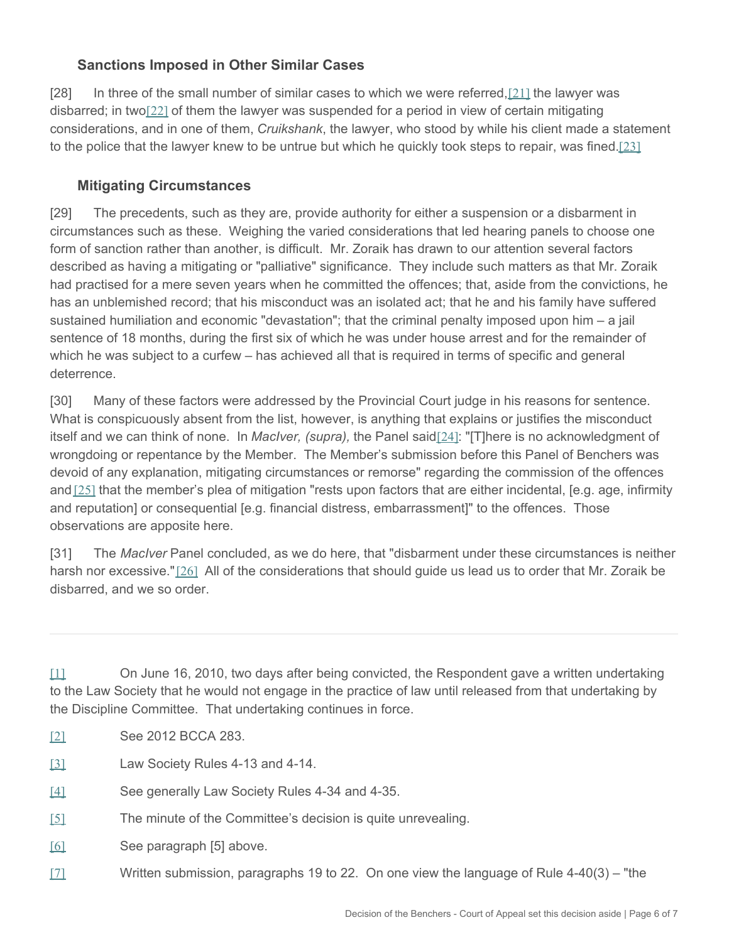### <span id="page-5-8"></span><span id="page-5-7"></span>**Sanctions Imposed in Other Similar Cases**

[28] In three of the small number of similar cases to which we were referred,[\[21\]](#page-6-13) the lawyer was disbarred; in two $[22]$  of them the lawyer was suspended for a period in view of certain mitigating considerations, and in one of them, *Cruikshank*, the lawyer, who stood by while his client made a statement to the police that the lawyer knew to be untrue but which he quickly took steps to repair, was fined.[\[23\]](#page-6-15)

### <span id="page-5-9"></span>**Mitigating Circumstances**

[29] The precedents, such as they are, provide authority for either a suspension or a disbarment in circumstances such as these. Weighing the varied considerations that led hearing panels to choose one form of sanction rather than another, is difficult. Mr. Zoraik has drawn to our attention several factors described as having a mitigating or "palliative" significance. They include such matters as that Mr. Zoraik had practised for a mere seven years when he committed the offences; that, aside from the convictions, he has an unblemished record; that his misconduct was an isolated act; that he and his family have suffered sustained humiliation and economic "devastation"; that the criminal penalty imposed upon him – a jail sentence of 18 months, during the first six of which he was under house arrest and for the remainder of which he was subject to a curfew – has achieved all that is required in terms of specific and general deterrence.

<span id="page-5-10"></span>[30] Many of these factors were addressed by the Provincial Court judge in his reasons for sentence. What is conspicuously absent from the list, however, is anything that explains or justifies the misconduct itself and we can think of none. In *MacIver, (supra),* the Panel said[\[24\]](#page-6-16): "[T]here is no acknowledgment of wrongdoing or repentance by the Member. The Member's submission before this Panel of Benchers was devoid of any explanation, mitigating circumstances or remorse" regarding the commission of the offences and [\[25\]](#page-6-17) that the member's plea of mitigation "rests upon factors that are either incidental, [e.g. age, infirmity and reputation] or consequential [e.g. financial distress, embarrassment]" to the offences. Those observations are apposite here.

<span id="page-5-12"></span><span id="page-5-11"></span>[31] The *MacIver* Panel concluded, as we do here, that "disbarment under these circumstances is neither harsh nor excessive."[\[26\]](#page-6-18) All of the considerations that should guide us lead us to order that Mr. Zoraik be disbarred, and we so order.

<span id="page-5-0"></span>[\[1\]](#page-0-0) On June 16, 2010, two days after being convicted, the Respondent gave a written undertaking to the Law Society that he would not engage in the practice of law until released from that undertaking by the Discipline Committee. That undertaking continues in force.

- <span id="page-5-1"></span>[\[2\]](#page-0-1) See 2012 BCCA 283.
- <span id="page-5-2"></span>[\[3\]](#page-0-2) Law Society Rules 4-13 and 4-14.
- <span id="page-5-3"></span>[\[4\]](#page-0-3) See generally Law Society Rules 4-34 and 4-35.
- <span id="page-5-4"></span>[\[5\]](#page-1-0) The minute of the Committee's decision is quite unrevealing.
- <span id="page-5-5"></span>[\[6\]](#page-2-0) See paragraph [5] above.
- <span id="page-5-6"></span>[\[7\]](#page-2-1) Written submission, paragraphs 19 to 22. On one view the language of Rule 4-40(3) – "the